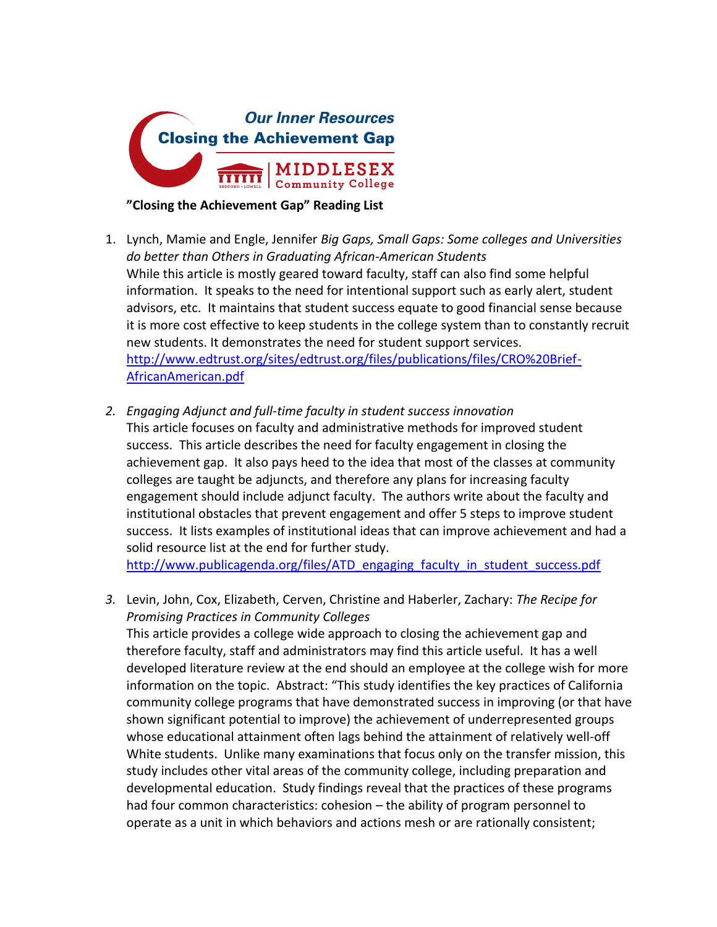

## **"Closing the Achievement Gap" Reading List**

- 1. Lynch, Mamie and Engle, Jennifer *Big Gaps, Small Gaps: Some colleges and Universities do better than Others in Graduating African-American Students* While this article is mostly geared toward faculty, staff can also find some helpful information. It speaks to the need for intentional support such as early alert, student advisors, etc. It maintains that student success equate to good financial sense because it is more cost effective to keep students in the college system than to constantly recruit new students. It demonstrates the need for student support services. [http://www.edtrust.org/sites/edtrust.org/files/publications/files/CRO%20Brief-](https://owa.middlesex.mass.edu/owa/redir.aspx?C=OqEygecYY0y0HdbS_90nUjw5dCjpFNFIL5QC0dfKBi9F9_caBrAzpsC2ivtbLEmiRHPOswyKksI.&URL=http%3a%2f%2fwww.edtrust.org%2fsites%2fedtrust.org%2ffiles%2fpublications%2ffiles%2fCRO%2520Brief-AfricanAmerican.pdf)[AfricanAmerican.pdf](https://owa.middlesex.mass.edu/owa/redir.aspx?C=OqEygecYY0y0HdbS_90nUjw5dCjpFNFIL5QC0dfKBi9F9_caBrAzpsC2ivtbLEmiRHPOswyKksI.&URL=http%3a%2f%2fwww.edtrust.org%2fsites%2fedtrust.org%2ffiles%2fpublications%2ffiles%2fCRO%2520Brief-AfricanAmerican.pdf)
- *2. Engaging Adjunct and full-time faculty in student success innovation* This article focuses on faculty and administrative methods for improved student success. This article describes the need for faculty engagement in closing the achievement gap. It also pays heed to the idea that most of the classes at community colleges are taught be adjuncts, and therefore any plans for increasing faculty engagement should include adjunct faculty. The authors write about the faculty and institutional obstacles that prevent engagement and offer 5 steps to improve student success. It lists examples of institutional ideas that can improve achievement and had a solid resource list at the end for further study.

[http://www.publicagenda.org/files/ATD\\_engaging\\_faculty\\_in\\_student\\_success.pdf](http://www.publicagenda.org/files/ATD_engaging_faculty_in_student_success.pdf)

*3.* Levin, John, Cox, Elizabeth, Cerven, Christine and Haberler, Zachary: *The Recipe for Promising Practices in Community Colleges*

This article provides a college wide approach to closing the achievement gap and therefore faculty, staff and administrators may find this article useful. It has a well developed literature review at the end should an employee at the college wish for more information on the topic. Abstract: "This study identifies the key practices of California community college programs that have demonstrated success in improving (or that have shown significant potential to improve) the achievement of underrepresented groups whose educational attainment often lags behind the attainment of relatively well-off White students. Unlike many examinations that focus only on the transfer mission, this study includes other vital areas of the community college, including preparation and developmental education. Study findings reveal that the practices of these programs had four common characteristics: cohesion – the ability of program personnel to operate as a unit in which behaviors and actions mesh or are rationally consistent;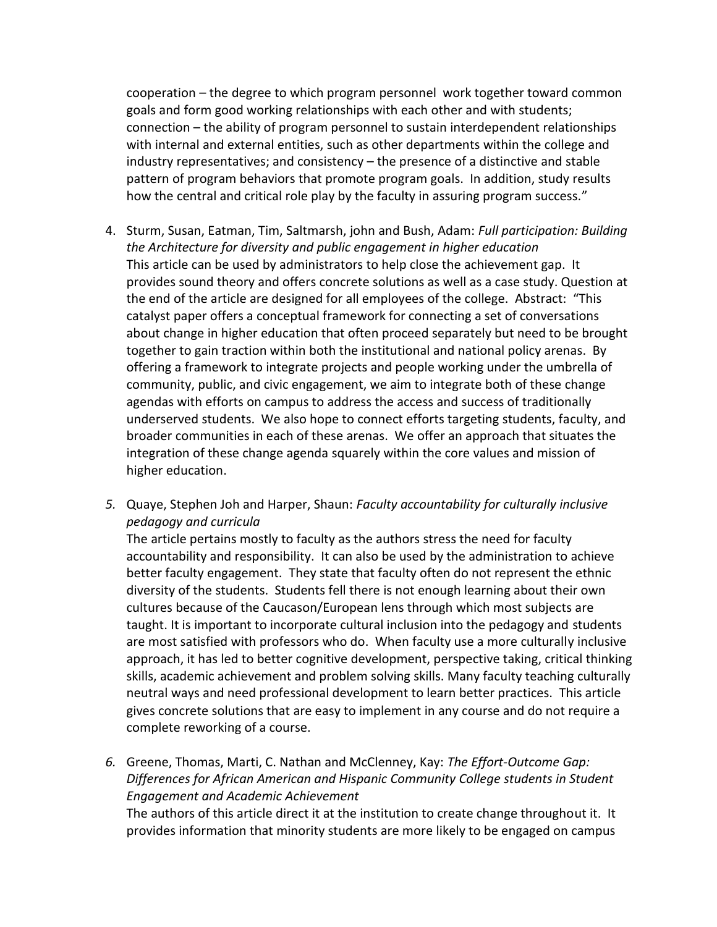cooperation – the degree to which program personnel work together toward common goals and form good working relationships with each other and with students; connection – the ability of program personnel to sustain interdependent relationships with internal and external entities, such as other departments within the college and industry representatives; and consistency – the presence of a distinctive and stable pattern of program behaviors that promote program goals. In addition, study results how the central and critical role play by the faculty in assuring program success."

- 4. Sturm, Susan, Eatman, Tim, Saltmarsh, john and Bush, Adam: *Full participation: Building the Architecture for diversity and public engagement in higher education* This article can be used by administrators to help close the achievement gap. It provides sound theory and offers concrete solutions as well as a case study. Question at the end of the article are designed for all employees of the college. Abstract: "This catalyst paper offers a conceptual framework for connecting a set of conversations about change in higher education that often proceed separately but need to be brought together to gain traction within both the institutional and national policy arenas. By offering a framework to integrate projects and people working under the umbrella of community, public, and civic engagement, we aim to integrate both of these change agendas with efforts on campus to address the access and success of traditionally underserved students. We also hope to connect efforts targeting students, faculty, and broader communities in each of these arenas. We offer an approach that situates the integration of these change agenda squarely within the core values and mission of higher education.
- *5.* Quaye, Stephen Joh and Harper, Shaun: *Faculty accountability for culturally inclusive pedagogy and curricula*

The article pertains mostly to faculty as the authors stress the need for faculty accountability and responsibility. It can also be used by the administration to achieve better faculty engagement. They state that faculty often do not represent the ethnic diversity of the students. Students fell there is not enough learning about their own cultures because of the Caucason/European lens through which most subjects are taught. It is important to incorporate cultural inclusion into the pedagogy and students are most satisfied with professors who do. When faculty use a more culturally inclusive approach, it has led to better cognitive development, perspective taking, critical thinking skills, academic achievement and problem solving skills. Many faculty teaching culturally neutral ways and need professional development to learn better practices. This article gives concrete solutions that are easy to implement in any course and do not require a complete reworking of a course.

*6.* Greene, Thomas, Marti, C. Nathan and McClenney, Kay: *The Effort-Outcome Gap: Differences for African American and Hispanic Community College students in Student Engagement and Academic Achievement*

The authors of this article direct it at the institution to create change throughout it. It provides information that minority students are more likely to be engaged on campus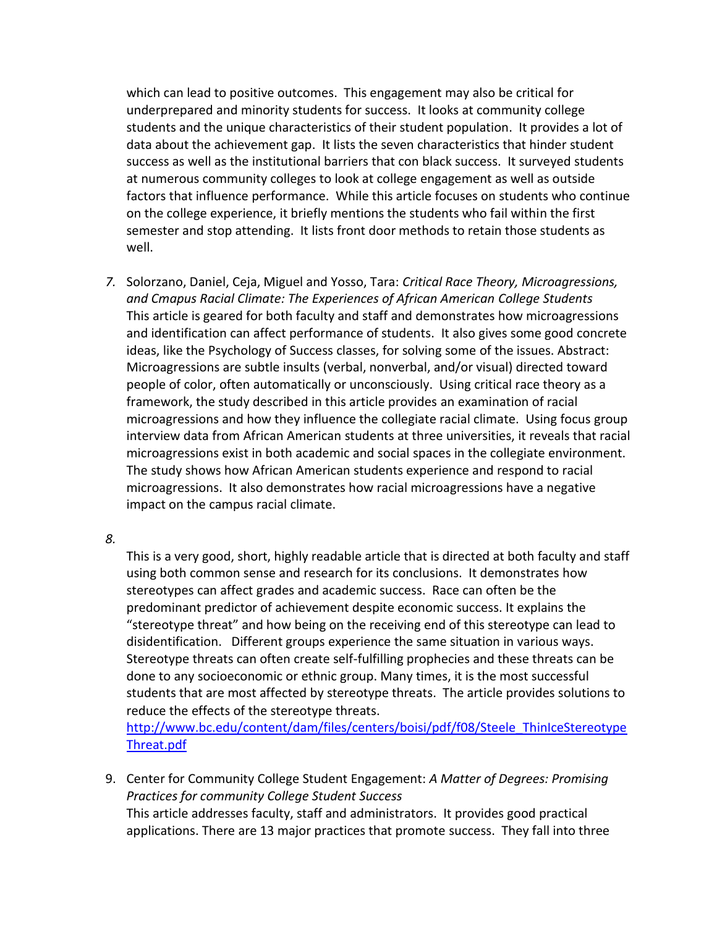which can lead to positive outcomes. This engagement may also be critical for underprepared and minority students for success. It looks at community college students and the unique characteristics of their student population. It provides a lot of data about the achievement gap. It lists the seven characteristics that hinder student success as well as the institutional barriers that con black success. It surveyed students at numerous community colleges to look at college engagement as well as outside factors that influence performance. While this article focuses on students who continue on the college experience, it briefly mentions the students who fail within the first semester and stop attending. It lists front door methods to retain those students as well.

*7.* Solorzano, Daniel, Ceja, Miguel and Yosso, Tara: *Critical Race Theory, Microagressions, and Cmapus Racial Climate: The Experiences of African American College Students* This article is geared for both faculty and staff and demonstrates how microagressions and identification can affect performance of students. It also gives some good concrete ideas, like the Psychology of Success classes, for solving some of the issues. Abstract: Microagressions are subtle insults (verbal, nonverbal, and/or visual) directed toward people of color, often automatically or unconsciously. Using critical race theory as a framework, the study described in this article provides an examination of racial microagressions and how they influence the collegiate racial climate. Using focus group interview data from African American students at three universities, it reveals that racial microagressions exist in both academic and social spaces in the collegiate environment. The study shows how African American students experience and respond to racial microagressions. It also demonstrates how racial microagressions have a negative impact on the campus racial climate.

*8.*

This is a very good, short, highly readable article that is directed at both faculty and staff using both common sense and research for its conclusions. It demonstrates how stereotypes can affect grades and academic success. Race can often be the predominant predictor of achievement despite economic success. It explains the "stereotype threat" and how being on the receiving end of this stereotype can lead to disidentification. Different groups experience the same situation in various ways. Stereotype threats can often create self-fulfilling prophecies and these threats can be done to any socioeconomic or ethnic group. Many times, it is the most successful students that are most affected by stereotype threats. The article provides solutions to reduce the effects of the stereotype threats.

[http://www.bc.edu/content/dam/files/centers/boisi/pdf/f08/Steele\\_ThinIceStereotype](http://www.bc.edu/content/dam/files/centers/boisi/pdf/f08/Steele_ThinIceStereotypeThreat.pdf) [Threat.pdf](http://www.bc.edu/content/dam/files/centers/boisi/pdf/f08/Steele_ThinIceStereotypeThreat.pdf)

9. Center for Community College Student Engagement: *A Matter of Degrees: Promising Practices for community College Student Success* This article addresses faculty, staff and administrators. It provides good practical applications. There are 13 major practices that promote success. They fall into three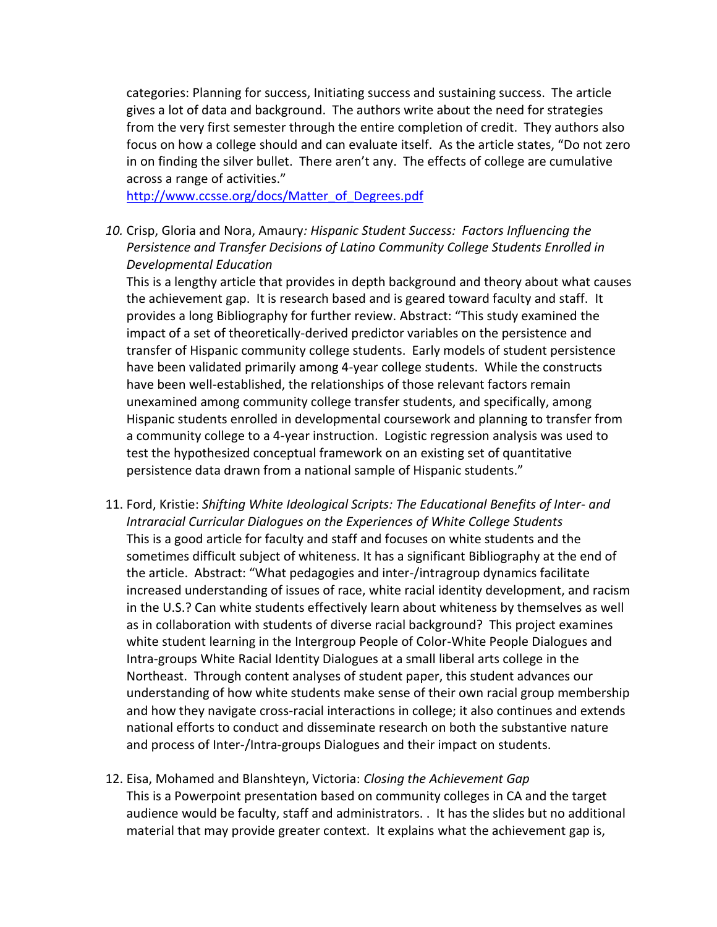categories: Planning for success, Initiating success and sustaining success. The article gives a lot of data and background. The authors write about the need for strategies from the very first semester through the entire completion of credit. They authors also focus on how a college should and can evaluate itself. As the article states, "Do not zero in on finding the silver bullet. There aren't any. The effects of college are cumulative across a range of activities."

[http://www.ccsse.org/docs/Matter\\_of\\_Degrees.pdf](https://owa.middlesex.mass.edu/owa/redir.aspx?C=OqEygecYY0y0HdbS_90nUjw5dCjpFNFIL5QC0dfKBi9F9_caBrAzpsC2ivtbLEmiRHPOswyKksI.&URL=http%3a%2f%2fwww.ccsse.org%2fdocs%2fMatter_of_Degrees.pdf)

*10.* Crisp, Gloria and Nora, Amaury*: Hispanic Student Success: Factors Influencing the Persistence and Transfer Decisions of Latino Community College Students Enrolled in Developmental Education*

This is a lengthy article that provides in depth background and theory about what causes the achievement gap. It is research based and is geared toward faculty and staff. It provides a long Bibliography for further review. Abstract: "This study examined the impact of a set of theoretically-derived predictor variables on the persistence and transfer of Hispanic community college students. Early models of student persistence have been validated primarily among 4-year college students. While the constructs have been well-established, the relationships of those relevant factors remain unexamined among community college transfer students, and specifically, among Hispanic students enrolled in developmental coursework and planning to transfer from a community college to a 4-year instruction. Logistic regression analysis was used to test the hypothesized conceptual framework on an existing set of quantitative persistence data drawn from a national sample of Hispanic students."

- 11. Ford, Kristie: *Shifting White Ideological Scripts: The Educational Benefits of Inter- and Intraracial Curricular Dialogues on the Experiences of White College Students* This is a good article for faculty and staff and focuses on white students and the sometimes difficult subject of whiteness. It has a significant Bibliography at the end of the article. Abstract: "What pedagogies and inter-/intragroup dynamics facilitate increased understanding of issues of race, white racial identity development, and racism in the U.S.? Can white students effectively learn about whiteness by themselves as well as in collaboration with students of diverse racial background? This project examines white student learning in the Intergroup People of Color-White People Dialogues and Intra-groups White Racial Identity Dialogues at a small liberal arts college in the Northeast. Through content analyses of student paper, this student advances our understanding of how white students make sense of their own racial group membership and how they navigate cross-racial interactions in college; it also continues and extends national efforts to conduct and disseminate research on both the substantive nature and process of Inter-/Intra-groups Dialogues and their impact on students.
- 12. Eisa, Mohamed and Blanshteyn, Victoria: *Closing the Achievement Gap* This is a Powerpoint presentation based on community colleges in CA and the target audience would be faculty, staff and administrators. . It has the slides but no additional material that may provide greater context. It explains what the achievement gap is,